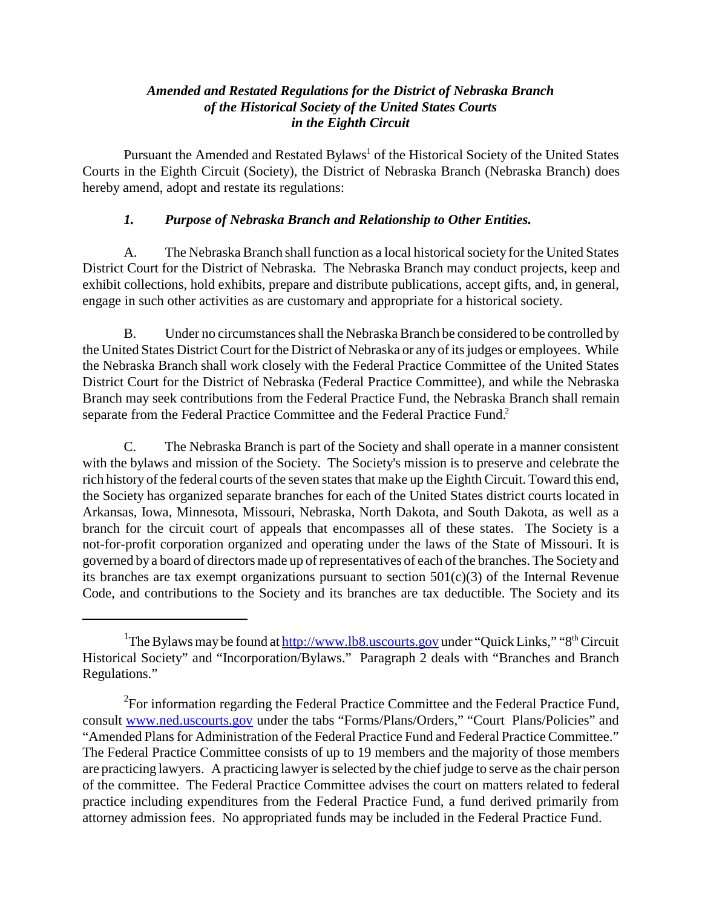#### *Amended and Restated Regulations for the District of Nebraska Branch of the Historical Society of the United States Courts in the Eighth Circuit*

Pursuant the Amended and Restated Bylaws<sup>1</sup> of the Historical Society of the United States Courts in the Eighth Circuit (Society), the District of Nebraska Branch (Nebraska Branch) does hereby amend, adopt and restate its regulations:

## *1. Purpose of Nebraska Branch and Relationship to Other Entities.*

A. The Nebraska Branch shall function as a local historical society for the United States District Court for the District of Nebraska. The Nebraska Branch may conduct projects, keep and exhibit collections, hold exhibits, prepare and distribute publications, accept gifts, and, in general, engage in such other activities as are customary and appropriate for a historical society.

B. Under no circumstances shall the Nebraska Branch be considered to be controlled by the United States District Court for the District of Nebraska or any of its judges or employees. While the Nebraska Branch shall work closely with the Federal Practice Committee of the United States District Court for the District of Nebraska (Federal Practice Committee), and while the Nebraska Branch may seek contributions from the Federal Practice Fund, the Nebraska Branch shall remain separate from the Federal Practice Committee and the Federal Practice Fund.<sup>2</sup>

C. The Nebraska Branch is part of the Society and shall operate in a manner consistent with the bylaws and mission of the Society. The Society's mission is to preserve and celebrate the rich history of the federal courts of the seven states that make up the Eighth Circuit. Toward this end, the Society has organized separate branches for each of the United States district courts located in Arkansas, Iowa, Minnesota, Missouri, Nebraska, North Dakota, and South Dakota, as well as a branch for the circuit court of appeals that encompasses all of these states. The Society is a not-for-profit corporation organized and operating under the laws of the State of Missouri. It is governed by a board of directors made up of representatives of each of the branches. The Society and its branches are tax exempt organizations pursuant to section  $501(c)(3)$  of the Internal Revenue Code, and contributions to the Society and its branches are tax deductible. The Society and its

<sup>&</sup>lt;sup>1</sup>The Bylaws may be found at http://www.lb8.uscourts.gov under "Quick Links," "8<sup>th</sup> Circuit Historical Society" and "Incorporation/Bylaws." Paragraph 2 deals with "Branches and Branch Regulations."

 $2^2$ For information regarding the Federal Practice Committee and the Federal Practice Fund, consult www.ned.uscourts.gov under the tabs "Forms/Plans/Orders," "Court Plans/Policies" and "Amended Plans for Administration of the Federal Practice Fund and Federal Practice Committee." The Federal Practice Committee consists of up to 19 members and the majority of those members are practicing lawyers. A practicing lawyer is selected by the chief judge to serve as the chair person of the committee. The Federal Practice Committee advises the court on matters related to federal practice including expenditures from the Federal Practice Fund, a fund derived primarily from attorney admission fees. No appropriated funds may be included in the Federal Practice Fund.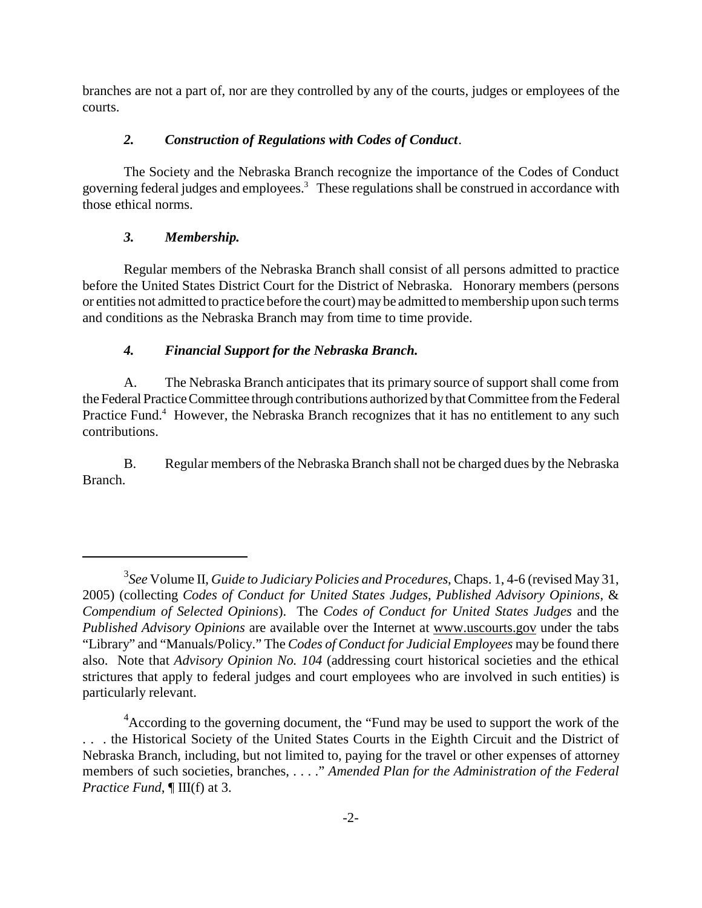branches are not a part of, nor are they controlled by any of the courts, judges or employees of the courts.

## *2. Construction of Regulations with Codes of Conduct*.

The Society and the Nebraska Branch recognize the importance of the Codes of Conduct governing federal judges and employees.<sup>3</sup> These regulations shall be construed in accordance with those ethical norms.

# *3. Membership.*

Regular members of the Nebraska Branch shall consist of all persons admitted to practice before the United States District Court for the District of Nebraska. Honorary members (persons or entities not admitted to practice before the court)may be admitted tomembership upon such terms and conditions as the Nebraska Branch may from time to time provide.

### *4. Financial Support for the Nebraska Branch.*

A. The Nebraska Branch anticipates that its primary source of support shall come from the Federal Practice Committee through contributions authorized by that Committee from the Federal Practice Fund.<sup>4</sup> However, the Nebraska Branch recognizes that it has no entitlement to any such contributions.

B. Regular members of the Nebraska Branch shall not be charged dues by the Nebraska Branch.

<sup>3</sup> *See* Volume II, *Guide to Judiciary Policies and Procedures*, Chaps. 1, 4-6 (revised May 31, 2005) (collecting *Codes of Conduct for United States Judges*, *Published Advisory Opinions*, & *Compendium of Selected Opinions*). The *Codes of Conduct for United States Judges* and the *Published Advisory Opinions* are available over the Internet at www.uscourts.gov under the tabs "Library" and "Manuals/Policy." The *Codes of Conduct for Judicial Employees* may be found there also. Note that *Advisory Opinion No. 104* (addressing court historical societies and the ethical strictures that apply to federal judges and court employees who are involved in such entities) is particularly relevant.

<sup>&</sup>lt;sup>4</sup> According to the governing document, the "Fund may be used to support the work of the . . . the Historical Society of the United States Courts in the Eighth Circuit and the District of Nebraska Branch, including, but not limited to, paying for the travel or other expenses of attorney members of such societies, branches, . . . ." *Amended Plan for the Administration of the Federal Practice Fund*, ¶ III(f) at 3.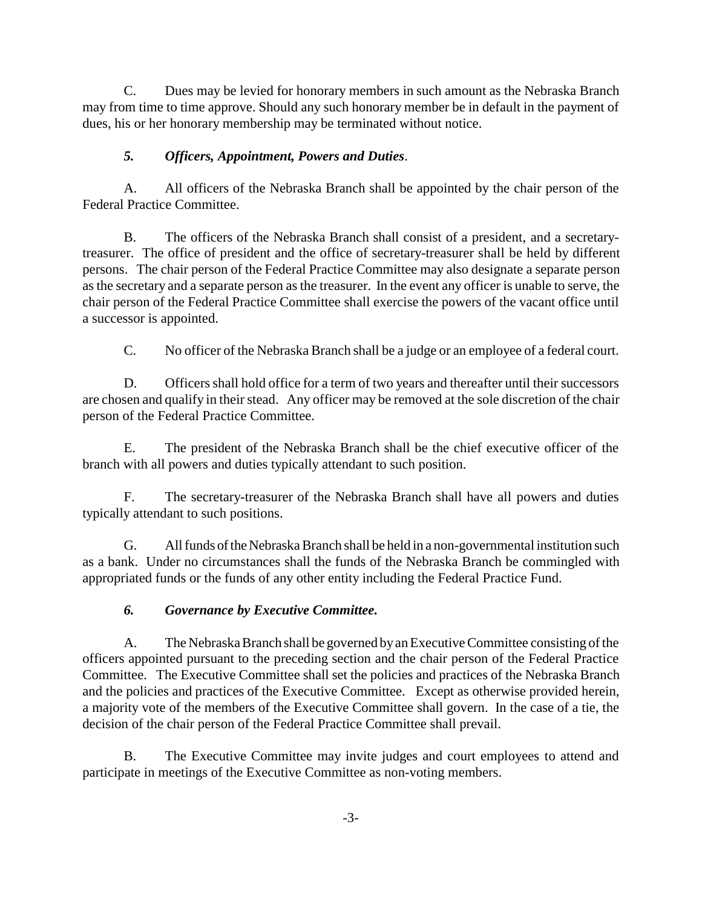C. Dues may be levied for honorary members in such amount as the Nebraska Branch may from time to time approve. Should any such honorary member be in default in the payment of dues, his or her honorary membership may be terminated without notice.

# *5. Officers, Appointment, Powers and Duties*.

A. All officers of the Nebraska Branch shall be appointed by the chair person of the Federal Practice Committee.

B. The officers of the Nebraska Branch shall consist of a president, and a secretarytreasurer. The office of president and the office of secretary-treasurer shall be held by different persons. The chair person of the Federal Practice Committee may also designate a separate person asthe secretary and a separate person as the treasurer. In the event any officer is unable to serve, the chair person of the Federal Practice Committee shall exercise the powers of the vacant office until a successor is appointed.

C. No officer of the Nebraska Branch shall be a judge or an employee of a federal court.

D. Officers shall hold office for a term of two years and thereafter until their successors are chosen and qualify in their stead. Any officer may be removed at the sole discretion of the chair person of the Federal Practice Committee.

E. The president of the Nebraska Branch shall be the chief executive officer of the branch with all powers and duties typically attendant to such position.

F. The secretary-treasurer of the Nebraska Branch shall have all powers and duties typically attendant to such positions.

G. All funds of the Nebraska Branch shall be held in a non-governmental institution such as a bank. Under no circumstances shall the funds of the Nebraska Branch be commingled with appropriated funds or the funds of any other entity including the Federal Practice Fund.

# *6. Governance by Executive Committee.*

A. The Nebraska Branch shall be governed by an Executive Committee consisting of the officers appointed pursuant to the preceding section and the chair person of the Federal Practice Committee. The Executive Committee shall set the policies and practices of the Nebraska Branch and the policies and practices of the Executive Committee. Except as otherwise provided herein, a majority vote of the members of the Executive Committee shall govern. In the case of a tie, the decision of the chair person of the Federal Practice Committee shall prevail.

B. The Executive Committee may invite judges and court employees to attend and participate in meetings of the Executive Committee as non-voting members.